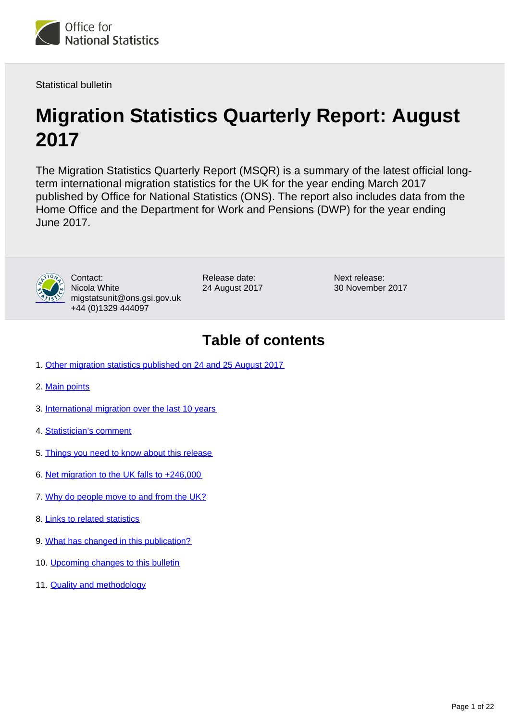

Statistical bulletin

# **Migration Statistics Quarterly Report: August 2017**

The Migration Statistics Quarterly Report (MSQR) is a summary of the latest official longterm international migration statistics for the UK for the year ending March 2017 published by Office for National Statistics (ONS). The report also includes data from the Home Office and the Department for Work and Pensions (DWP) for the year ending June 2017.



Contact: Nicola White migstatsunit@ons.gsi.gov.uk +44 (0)1329 444097

Release date: 24 August 2017 Next release: 30 November 2017

## **Table of contents**

- 1. [Other migration statistics published on 24 and 25 August 2017](#page-1-0)
- 2. [Main points](#page-1-1)
- 3. [International migration over the last 10 years](#page-3-0)
- 4. [Statistician's comment](#page-5-0)
- 5. [Things you need to know about this release](#page-5-1)
- 6. [Net migration to the UK falls to +246,000](#page-6-0)
- 7. [Why do people move to and from the UK?](#page-11-0)
- 8. [Links to related statistics](#page-19-0)
- 9. [What has changed in this publication?](#page-19-1)
- 10. [Upcoming changes to this bulletin](#page-20-0)
- 11. **[Quality and methodology](#page-20-1)**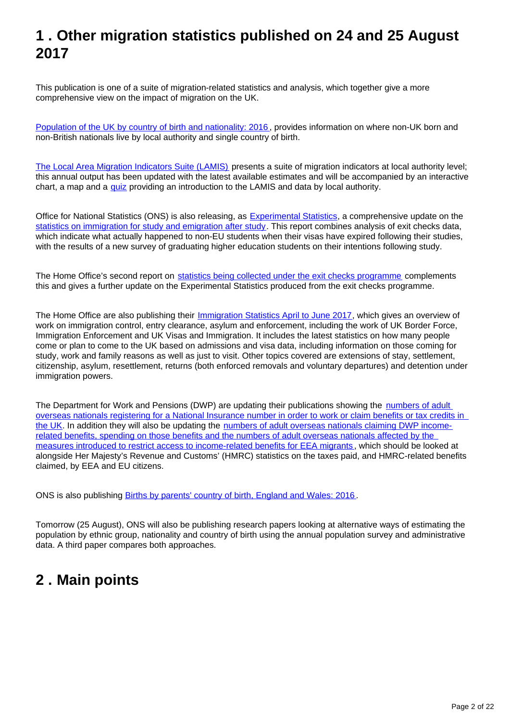## <span id="page-1-0"></span>**1 . Other migration statistics published on 24 and 25 August 2017**

This publication is one of a suite of migration-related statistics and analysis, which together give a more comprehensive view on the impact of migration on the UK.

[Population of the UK by country of birth and nationality: 2016](https://www.ons.gov.uk/releases/ukpopulationbycountryofbirthandnationality2016) , provides information on where non-UK born and non-British nationals live by local authority and single country of birth.

[The Local Area Migration Indicators Suite \(LAMIS\)](https://www.ons.gov.uk/peoplepopulationandcommunity/populationandmigration/migrationwithintheuk/datasets/localareamigrationindicatorsunitedkingdom) presents a suite of migration indicators at local authority level; this annual output has been updated with the latest available estimates and will be accompanied by an interactive chart, a map and a [quiz](https://www.ons.gov.uk/visualisations/dvc430/barcode/barcodeGrouped/index.html) providing an introduction to the LAMIS and data by local authority.

Office for National Statistics (ONS) is also releasing, as [Experimental Statistics](https://www.ons.gov.uk/methodology/methodologytopicsandstatisticalconcepts/guidetoexperimentalstatistics), a comprehensive update on the [statistics on immigration for study and emigration after study](https://www.ons.gov.uk/peoplepopulationandcommunity/populationandmigration/internationalmigration/articles/whatshappeningwithinternationalstudentmigration/2017-08-24). This report combines analysis of exit checks data, which indicate what actually happened to non-EU students when their visas have expired following their studies, with the results of a new survey of graduating higher education students on their intentions following study.

The Home Office's second report on [statistics being collected under the exit checks programme](https://www.gov.uk/government/statistics/second-report-on-statistics-being-collected-under-the-exit-checks-programme) complements this and gives a further update on the Experimental Statistics produced from the exit checks programme.

The Home Office are also publishing their [Immigration Statistics April to June 2017](https://www.gov.uk/government/statistics/immigration-statistics-april-to-june-2017), which gives an overview of work on immigration control, entry clearance, asylum and enforcement, including the work of UK Border Force, Immigration Enforcement and UK Visas and Immigration. It includes the latest statistics on how many people come or plan to come to the UK based on admissions and visa data, including information on those coming for study, work and family reasons as well as just to visit. Other topics covered are extensions of stay, settlement, citizenship, asylum, resettlement, returns (both enforced removals and voluntary departures) and detention under immigration powers.

The Department for Work and Pensions (DWP) are updating their publications showing the numbers of adult [overseas nationals registering for a National Insurance number in order to work or claim benefits or tax credits in](https://www.gov.uk/government/collections/national-insurance-number-allocations-to-adult-overseas-nationals-entering-the-uk)  [the UK.](https://www.gov.uk/government/collections/national-insurance-number-allocations-to-adult-overseas-nationals-entering-the-uk) In addition they will also be updating the [numbers of adult overseas nationals claiming DWP income](https://www.gov.uk/government/collections/ad-hoc-statistical-analyses-2017)[related benefits, spending on those benefits and the numbers of adult overseas nationals affected by the](https://www.gov.uk/government/collections/ad-hoc-statistical-analyses-2017)  [measures introduced to restrict access to income-related benefits for EEA migrants](https://www.gov.uk/government/collections/ad-hoc-statistical-analyses-2017) , which should be looked at alongside Her Majesty's Revenue and Customs' (HMRC) statistics on the taxes paid, and HMRC-related benefits claimed, by EEA and EU citizens.

ONS is also publishing [Births by parents' country of birth, England and Wales: 2016](https://www.ons.gov.uk/releases/parentscountryofbirthenglandandwales2016) .

Tomorrow (25 August), ONS will also be publishing research papers looking at alternative ways of estimating the population by ethnic group, nationality and country of birth using the annual population survey and administrative data. A third paper compares both approaches.

### <span id="page-1-1"></span>**2 . Main points**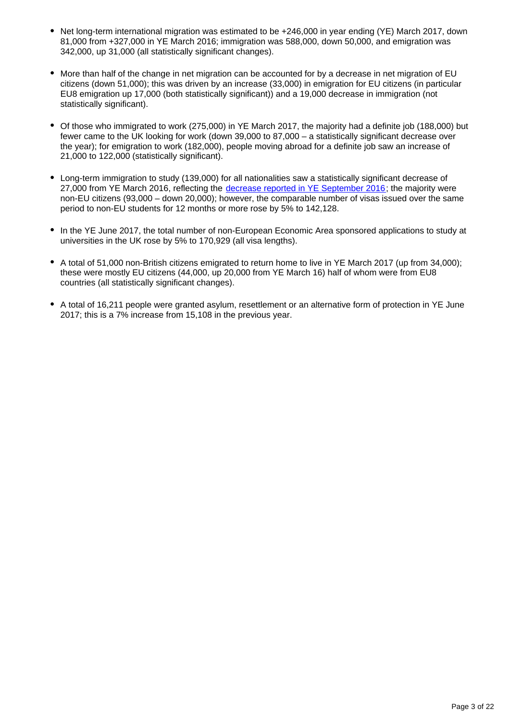- Net long-term international migration was estimated to be +246,000 in year ending (YE) March 2017, down 81,000 from +327,000 in YE March 2016; immigration was 588,000, down 50,000, and emigration was 342,000, up 31,000 (all statistically significant changes).
- More than half of the change in net migration can be accounted for by a decrease in net migration of EU citizens (down 51,000); this was driven by an increase (33,000) in emigration for EU citizens (in particular EU8 emigration up 17,000 (both statistically significant)) and a 19,000 decrease in immigration (not statistically significant).
- Of those who immigrated to work (275,000) in YE March 2017, the majority had a definite job (188,000) but fewer came to the UK looking for work (down 39,000 to 87,000 – a statistically significant decrease over the year); for emigration to work (182,000), people moving abroad for a definite job saw an increase of 21,000 to 122,000 (statistically significant).
- Long-term immigration to study (139,000) for all nationalities saw a statistically significant decrease of 27,000 from YE March 2016, reflecting the [decrease reported in YE September 2016;](https://www.ons.gov.uk/peoplepopulationandcommunity/populationandmigration/internationalmigration/bulletins/migrationstatisticsquarterlyreport/Feb2017) the majority were non-EU citizens (93,000 – down 20,000); however, the comparable number of visas issued over the same period to non-EU students for 12 months or more rose by 5% to 142,128.
- In the YE June 2017, the total number of non-European Economic Area sponsored applications to study at universities in the UK rose by 5% to 170,929 (all visa lengths).
- A total of 51,000 non-British citizens emigrated to return home to live in YE March 2017 (up from 34,000); these were mostly EU citizens (44,000, up 20,000 from YE March 16) half of whom were from EU8 countries (all statistically significant changes).
- A total of 16,211 people were granted asylum, resettlement or an alternative form of protection in YE June 2017; this is a 7% increase from 15,108 in the previous year.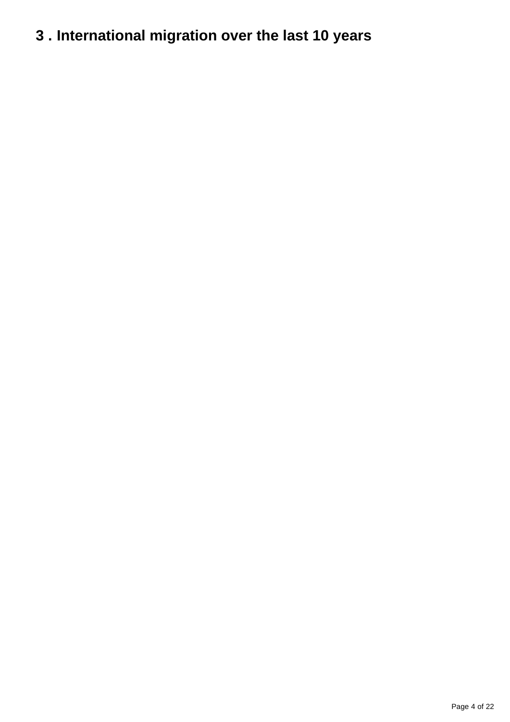# <span id="page-3-0"></span>**3 . International migration over the last 10 years**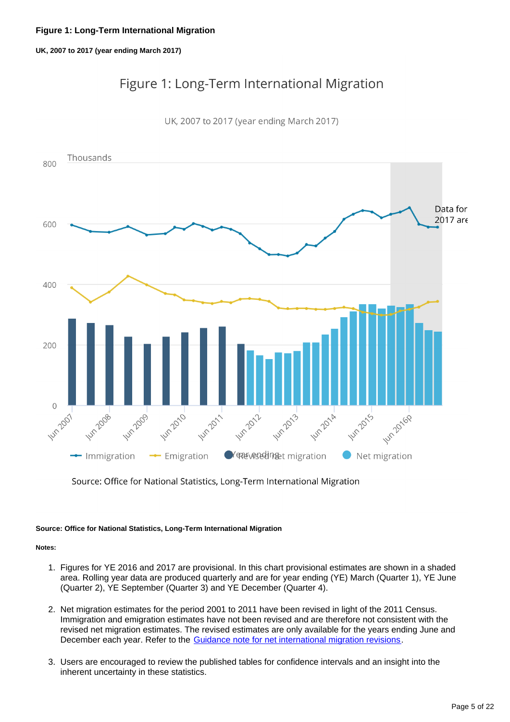**UK, 2007 to 2017 (year ending March 2017)**

## Figure 1: Long-Term International Migration

UK, 2007 to 2017 (year ending March 2017)



Source: Office for National Statistics, Long-Term International Migration

#### **Source: Office for National Statistics, Long-Term International Migration**

#### **Notes:**

- 1. Figures for YE 2016 and 2017 are provisional. In this chart provisional estimates are shown in a shaded area. Rolling year data are produced quarterly and are for year ending (YE) March (Quarter 1), YE June (Quarter 2), YE September (Quarter 3) and YE December (Quarter 4).
- 2. Net migration estimates for the period 2001 to 2011 have been revised in light of the 2011 Census. Immigration and emigration estimates have not been revised and are therefore not consistent with the revised net migration estimates. The revised estimates are only available for the years ending June and December each year. Refer to the [Guidance note for net international migration revisions](https://www.ons.gov.uk/file?uri=/peoplepopulationandcommunity/populationandmigration/internationalmigration/methodologies/internationalmigrationmethodology/guidancenotenetinternationalmigrationrevisionstcm77363767.pdf).
- 3. Users are encouraged to review the published tables for confidence intervals and an insight into the inherent uncertainty in these statistics.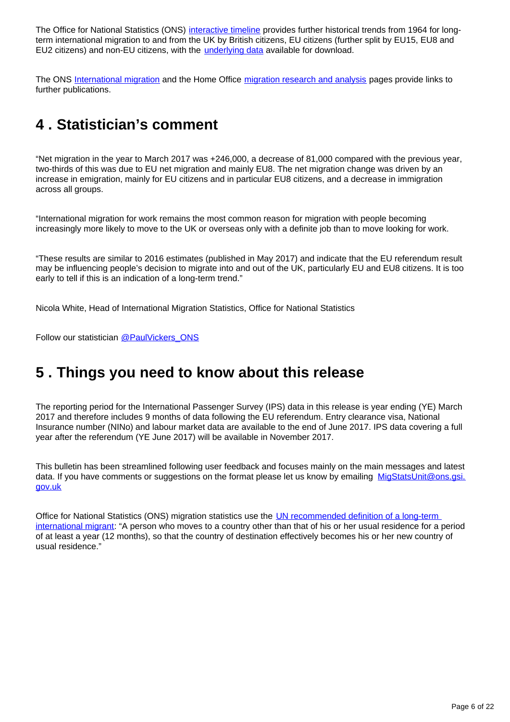The Office for National Statistics (ONS) [interactive timeline](http://visual.ons.gov.uk/explore-50-years-of-international-migration/) provides further historical trends from 1964 for longterm international migration to and from the UK by British citizens, EU citizens (further split by EU15, EU8 and EU2 citizens) and non-EU citizens, with the [underlying data](https://www.ons.gov.uk/peoplepopulationandcommunity/populationandmigration/internationalmigration/adhocs/006408longterminternationalmigrationintoandoutoftheukbycitizenship1964to2015) available for download.

The ONS [International migration](https://www.ons.gov.uk/peoplepopulationandcommunity/populationandmigration/internationalmigration) and the Home Office [migration research and analysis](https://www.gov.uk/government/collections/migration-research-and-analysis) pages provide links to further publications.

## <span id="page-5-0"></span>**4 . Statistician's comment**

"Net migration in the year to March 2017 was +246,000, a decrease of 81,000 compared with the previous year, two-thirds of this was due to EU net migration and mainly EU8. The net migration change was driven by an increase in emigration, mainly for EU citizens and in particular EU8 citizens, and a decrease in immigration across all groups.

"International migration for work remains the most common reason for migration with people becoming increasingly more likely to move to the UK or overseas only with a definite job than to move looking for work.

"These results are similar to 2016 estimates (published in May 2017) and indicate that the EU referendum result may be influencing people's decision to migrate into and out of the UK, particularly EU and EU8 citizens. It is too early to tell if this is an indication of a long-term trend."

Nicola White, Head of International Migration Statistics, Office for National Statistics

Follow our statistician [@PaulVickers\\_ONS](https://twitter.com/PaulVickers_ONS)

## <span id="page-5-1"></span>**5 . Things you need to know about this release**

The reporting period for the International Passenger Survey (IPS) data in this release is year ending (YE) March 2017 and therefore includes 9 months of data following the EU referendum. Entry clearance visa, National Insurance number (NINo) and labour market data are available to the end of June 2017. IPS data covering a full year after the referendum (YE June 2017) will be available in November 2017.

This bulletin has been streamlined following user feedback and focuses mainly on the main messages and latest data. If you have comments or suggestions on the format please let us know by emailing MigStatsUnit@ons.gsi. gov.uk

Office for National Statistics (ONS) migration statistics use the **UN recommended definition of a long-term** [international migrant](http://unstats.un.org/unsd/demographic/sconcerns/migration/migrmethods.htm): "A person who moves to a country other than that of his or her usual residence for a period of at least a year (12 months), so that the country of destination effectively becomes his or her new country of usual residence."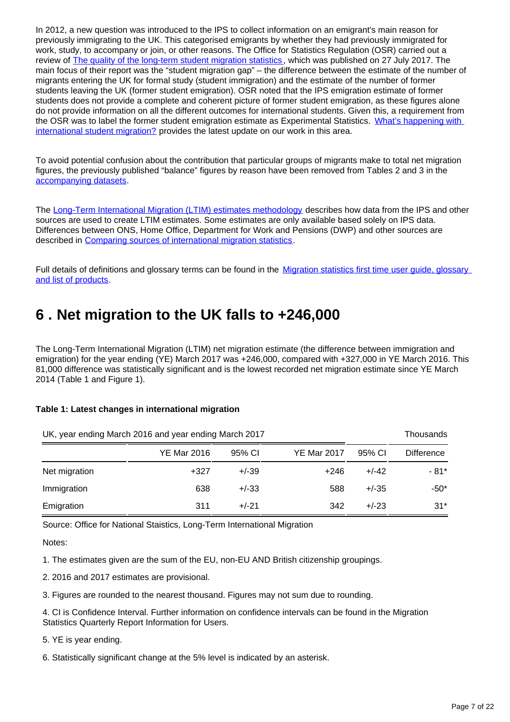In 2012, a new question was introduced to the IPS to collect information on an emigrant's main reason for previously immigrating to the UK. This categorised emigrants by whether they had previously immigrated for work, study, to accompany or join, or other reasons. The Office for Statistics Regulation (OSR) carried out a review of [The quality of the long-term student migration statistics](https://www.statisticsauthority.gov.uk/publication/the-quality-of-long-term-student-migration-statistics/), which was published on 27 July 2017. The main focus of their report was the "student migration gap" – the difference between the estimate of the number of migrants entering the UK for formal study (student immigration) and the estimate of the number of former students leaving the UK (former student emigration). OSR noted that the IPS emigration estimate of former students does not provide a complete and coherent picture of former student emigration, as these figures alone do not provide information on all the different outcomes for international students. Given this, a requirement from the OSR was to label the former student emigration estimate as Experimental Statistics. [What's happening with](https://www.ons.gov.uk/peoplepopulationandcommunity/populationandmigration/internationalmigration/articles/whatshappeningwithinternationalstudentmigration/2017-08-24)  [international student migration?](https://www.ons.gov.uk/peoplepopulationandcommunity/populationandmigration/internationalmigration/articles/whatshappeningwithinternationalstudentmigration/2017-08-24) provides the latest update on our work in this area.

To avoid potential confusion about the contribution that particular groups of migrants make to total net migration figures, the previously published "balance" figures by reason have been removed from Tables 2 and 3 in the [accompanying datasets.](https://www.ons.gov.uk/peoplepopulationandcommunity/populationandmigration/internationalmigration/datasets/migrationstatisticsquarterlyreportprovisionallongterminternationalmigrationltimestimates)

The [Long-Term International Migration \(LTIM\) estimates methodology](https://www.ons.gov.uk/peoplepopulationandcommunity/populationandmigration/internationalmigration/methodologies/longterminternationalmigrationestimatesmethodology) describes how data from the IPS and other sources are used to create LTIM estimates. Some estimates are only available based solely on IPS data. Differences between ONS, Home Office, Department for Work and Pensions (DWP) and other sources are described in [Comparing sources of international migration statistics](https://www.ons.gov.uk/peoplepopulationandcommunity/populationandmigration/internationalmigration/articles/comparingsourcesofinternationalmigrationstatistics/december2016).

Full details of definitions and glossary terms can be found in the [Migration statistics first time user guide, glossary](https://www.ons.gov.uk/peoplepopulationandcommunity/populationandmigration/internationalmigration/methodologies/migrationstatisticsfirsttimeuserguideglossaryandlistofproducts)  [and list of products.](https://www.ons.gov.uk/peoplepopulationandcommunity/populationandmigration/internationalmigration/methodologies/migrationstatisticsfirsttimeuserguideglossaryandlistofproducts)

## <span id="page-6-0"></span>**6 . Net migration to the UK falls to +246,000**

The Long-Term International Migration (LTIM) net migration estimate (the difference between immigration and emigration) for the year ending (YE) March 2017 was +246,000, compared with +327,000 in YE March 2016. This 81,000 difference was statistically significant and is the lowest recorded net migration estimate since YE March 2014 (Table 1 and Figure 1).

#### **Table 1: Latest changes in international migration**

| UK, year ending March 2016 and year ending March 2017 |                    |         |                    |         | Thousands         |  |
|-------------------------------------------------------|--------------------|---------|--------------------|---------|-------------------|--|
|                                                       | <b>YE Mar 2016</b> | 95% CI  | <b>YE Mar 2017</b> | 95% CI  | <b>Difference</b> |  |
| Net migration                                         | $+327$             | $+/-39$ | $+246$             | $+/-42$ | $-81*$            |  |
| Immigration                                           | 638                | $+/-33$ | 588                | $+/-35$ | $-50*$            |  |
| Emigration                                            | 311                | $+/-21$ | 342                | $+/-23$ | $31*$             |  |

Source: Office for National Staistics, Long-Term International Migration

Notes:

1. The estimates given are the sum of the EU, non-EU AND British citizenship groupings.

2. 2016 and 2017 estimates are provisional.

3. Figures are rounded to the nearest thousand. Figures may not sum due to rounding.

4. CI is Confidence Interval. Further information on confidence intervals can be found in the Migration Statistics Quarterly Report Information for Users.

5. YE is year ending.

6. Statistically significant change at the 5% level is indicated by an asterisk.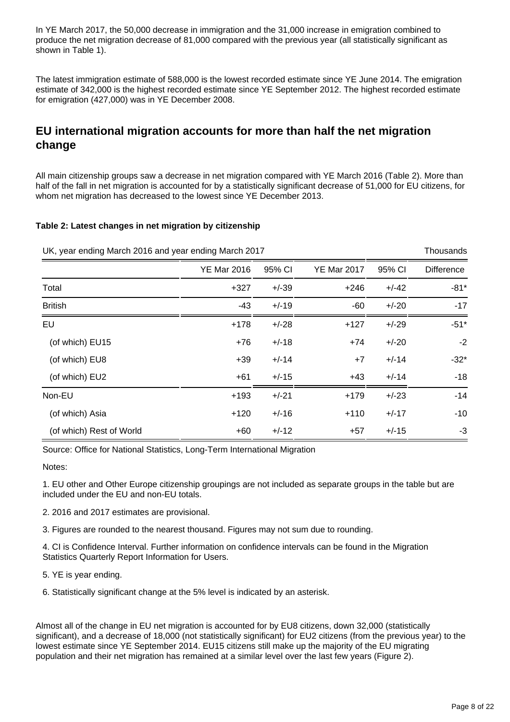In YE March 2017, the 50,000 decrease in immigration and the 31,000 increase in emigration combined to produce the net migration decrease of 81,000 compared with the previous year (all statistically significant as shown in Table 1).

The latest immigration estimate of 588,000 is the lowest recorded estimate since YE June 2014. The emigration estimate of 342,000 is the highest recorded estimate since YE September 2012. The highest recorded estimate for emigration (427,000) was in YE December 2008.

### **EU international migration accounts for more than half the net migration change**

All main citizenship groups saw a decrease in net migration compared with YE March 2016 (Table 2). More than half of the fall in net migration is accounted for by a statistically significant decrease of 51,000 for EU citizens, for whom net migration has decreased to the lowest since YE December 2013.

#### **Table 2: Latest changes in net migration by citizenship**

UK, year ending March 2016 and year ending March 2017 Thousands Thousands

|                          | <b>YE Mar 2016</b> | 95% CI  | <b>YE Mar 2017</b> | 95% CI  | <b>Difference</b> |
|--------------------------|--------------------|---------|--------------------|---------|-------------------|
| Total                    | $+327$             | $+/-39$ | $+246$             | $+/-42$ | $-81*$            |
| <b>British</b>           | $-43$              | $+/-19$ | -60                | $+/-20$ | $-17$             |
| EU                       | $+178$             | $+/-28$ | $+127$             | $+/-29$ | $-51*$            |
| (of which) EU15          | $+76$              | $+/-18$ | $+74$              | $+/-20$ | $-2$              |
| (of which) EU8           | $+39$              | $+/-14$ | $+7$               | $+/-14$ | $-32*$            |
| (of which) EU2           | $+61$              | $+/-15$ | $+43$              | $+/-14$ | $-18$             |
| Non-EU                   | $+193$             | $+/-21$ | $+179$             | $+/-23$ | $-14$             |
| (of which) Asia          | $+120$             | $+/-16$ | $+110$             | $+/-17$ | $-10$             |
| (of which) Rest of World | $+60$              | $+/-12$ | $+57$              | $+/-15$ | $-3$              |

Source: Office for National Statistics, Long-Term International Migration

#### Notes:

1. EU other and Other Europe citizenship groupings are not included as separate groups in the table but are included under the EU and non-EU totals.

- 2. 2016 and 2017 estimates are provisional.
- 3. Figures are rounded to the nearest thousand. Figures may not sum due to rounding.

4. CI is Confidence Interval. Further information on confidence intervals can be found in the Migration Statistics Quarterly Report Information for Users.

5. YE is year ending.

6. Statistically significant change at the 5% level is indicated by an asterisk.

Almost all of the change in EU net migration is accounted for by EU8 citizens, down 32,000 (statistically significant), and a decrease of 18,000 (not statistically significant) for EU2 citizens (from the previous year) to the lowest estimate since YE September 2014. EU15 citizens still make up the majority of the EU migrating population and their net migration has remained at a similar level over the last few years (Figure 2).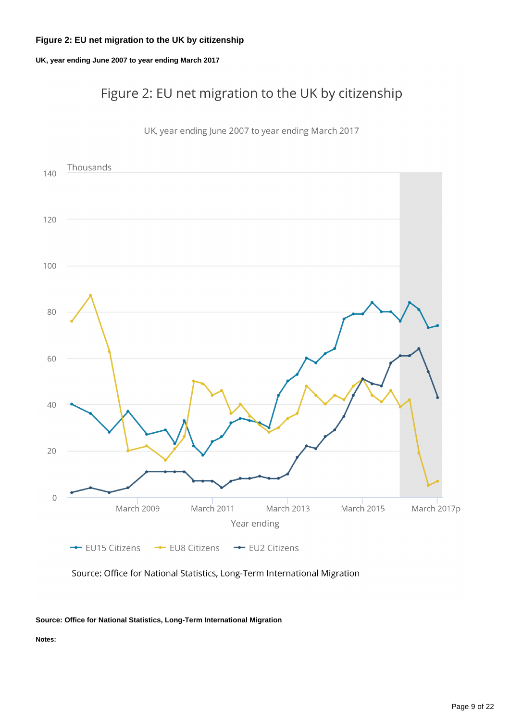#### **Figure 2: EU net migration to the UK by citizenship**

**UK, year ending June 2007 to year ending March 2017**

## Figure 2: EU net migration to the UK by citizenship

UK, year ending June 2007 to year ending March 2017



Source: Office for National Statistics, Long-Term International Migration

#### **Source: Office for National Statistics, Long-Term International Migration**

**Notes:**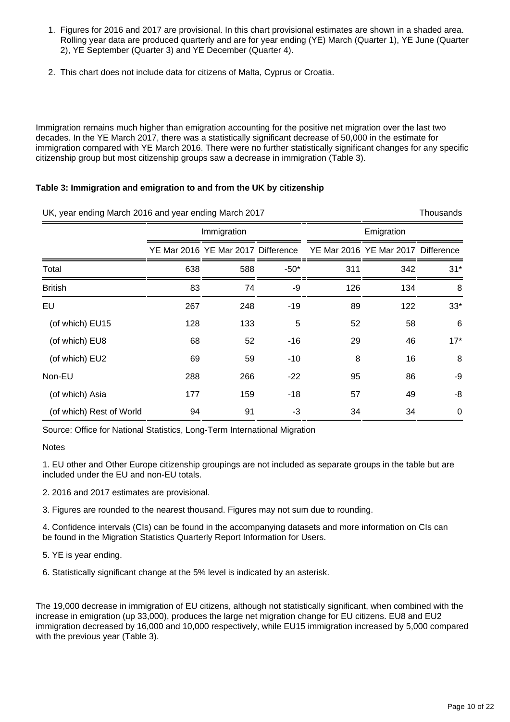- 1. Figures for 2016 and 2017 are provisional. In this chart provisional estimates are shown in a shaded area. Rolling year data are produced quarterly and are for year ending (YE) March (Quarter 1), YE June (Quarter 2), YE September (Quarter 3) and YE December (Quarter 4).
- 2. This chart does not include data for citizens of Malta, Cyprus or Croatia.

Immigration remains much higher than emigration accounting for the positive net migration over the last two decades. In the YE March 2017, there was a statistically significant decrease of 50,000 in the estimate for immigration compared with YE March 2016. There were no further statistically significant changes for any specific citizenship group but most citizenship groups saw a decrease in immigration (Table 3).

#### **Table 3: Immigration and emigration to and from the UK by citizenship**

| UK, year ending March 2016 and year ending March 2017<br>Thousands |             |                                    |        |            |                                    |       |
|--------------------------------------------------------------------|-------------|------------------------------------|--------|------------|------------------------------------|-------|
|                                                                    | Immigration |                                    |        | Emigration |                                    |       |
|                                                                    |             | YE Mar 2016 YE Mar 2017 Difference |        |            | YE Mar 2016 YE Mar 2017 Difference |       |
| Total                                                              | 638         | 588                                | $-50*$ | 311        | 342                                | $31*$ |
| <b>British</b>                                                     | 83          | 74                                 | -9     | 126        | 134                                | 8     |
| EU                                                                 | 267         | 248                                | $-19$  | 89         | 122                                | $33*$ |
| (of which) EU15                                                    | 128         | 133                                | 5      | 52         | 58                                 | 6     |
| (of which) EU8                                                     | 68          | 52                                 | $-16$  | 29         | 46                                 | $17*$ |
| (of which) EU2                                                     | 69          | 59                                 | $-10$  | 8          | 16                                 | 8     |
| Non-EU                                                             | 288         | 266                                | $-22$  | 95         | 86                                 | -9    |
| (of which) Asia                                                    | 177         | 159                                | $-18$  | 57         | 49                                 | -8    |
| (of which) Rest of World                                           | 94          | 91                                 | -3     | 34         | 34                                 | 0     |

Source: Office for National Statistics, Long-Term International Migration

#### **Notes**

1. EU other and Other Europe citizenship groupings are not included as separate groups in the table but are included under the EU and non-EU totals.

2. 2016 and 2017 estimates are provisional.

3. Figures are rounded to the nearest thousand. Figures may not sum due to rounding.

4. Confidence intervals (CIs) can be found in the accompanying datasets and more information on CIs can be found in the Migration Statistics Quarterly Report Information for Users.

5. YE is year ending.

6. Statistically significant change at the 5% level is indicated by an asterisk.

The 19,000 decrease in immigration of EU citizens, although not statistically significant, when combined with the increase in emigration (up 33,000), produces the large net migration change for EU citizens. EU8 and EU2 immigration decreased by 16,000 and 10,000 respectively, while EU15 immigration increased by 5,000 compared with the previous year (Table 3).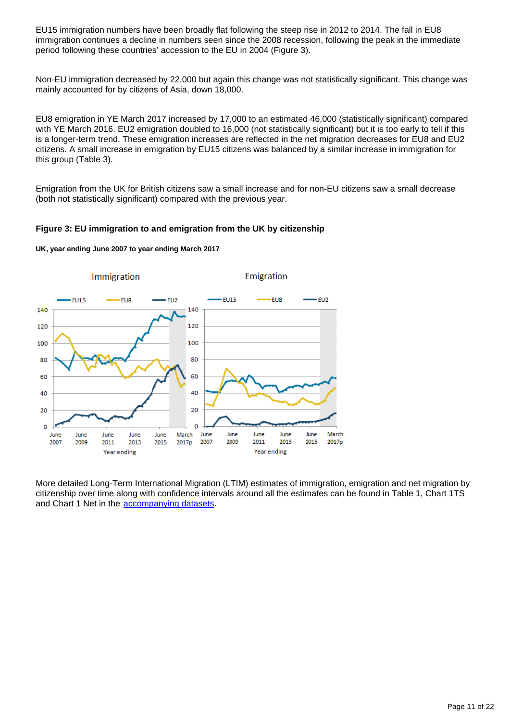EU15 immigration numbers have been broadly flat following the steep rise in 2012 to 2014. The fall in EU8 immigration continues a decline in numbers seen since the 2008 recession, following the peak in the immediate period following these countries' accession to the EU in 2004 (Figure 3).

Non-EU immigration decreased by 22,000 but again this change was not statistically significant. This change was mainly accounted for by citizens of Asia, down 18,000.

EU8 emigration in YE March 2017 increased by 17,000 to an estimated 46,000 (statistically significant) compared with YE March 2016. EU2 emigration doubled to 16,000 (not statistically significant) but it is too early to tell if this is a longer-term trend. These emigration increases are reflected in the net migration decreases for EU8 and EU2 citizens. A small increase in emigration by EU15 citizens was balanced by a similar increase in immigration for this group (Table 3).

Emigration from the UK for British citizens saw a small increase and for non-EU citizens saw a small decrease (both not statistically significant) compared with the previous year.

#### **Figure 3: EU immigration to and emigration from the UK by citizenship**

#### **UK, year ending June 2007 to year ending March 2017**



More detailed Long-Term International Migration (LTIM) estimates of immigration, emigration and net migration by citizenship over time along with confidence intervals around all the estimates can be found in Table 1, Chart 1TS and Chart 1 Net in the **[accompanying datasets](https://www.ons.gov.uk/peoplepopulationandcommunity/populationandmigration/internationalmigration/datasets/migrationstatisticsquarterlyreportprovisionallongterminternationalmigrationltimestimates)**.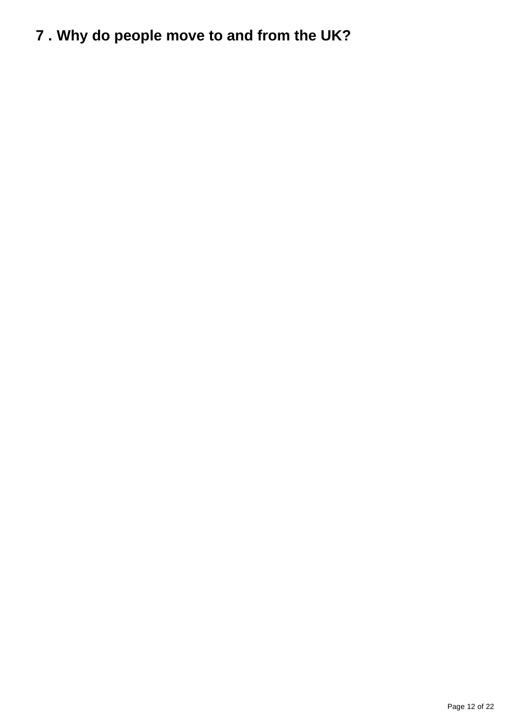<span id="page-11-0"></span>**7 . Why do people move to and from the UK?**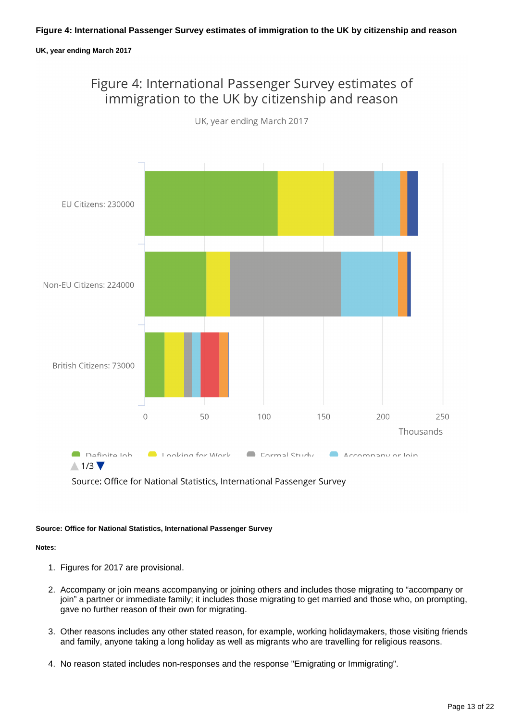#### **UK, year ending March 2017**

### Figure 4: International Passenger Survey estimates of immigration to the UK by citizenship and reason



UK, year ending March 2017

Source: Office for National Statistics, International Passenger Survey

#### **Source: Office for National Statistics, International Passenger Survey**

#### **Notes:**

- 1. Figures for 2017 are provisional.
- 2. Accompany or join means accompanying or joining others and includes those migrating to "accompany or join" a partner or immediate family; it includes those migrating to get married and those who, on prompting, gave no further reason of their own for migrating.
- 3. Other reasons includes any other stated reason, for example, working holidaymakers, those visiting friends and family, anyone taking a long holiday as well as migrants who are travelling for religious reasons.
- 4. No reason stated includes non-responses and the response "Emigrating or Immigrating".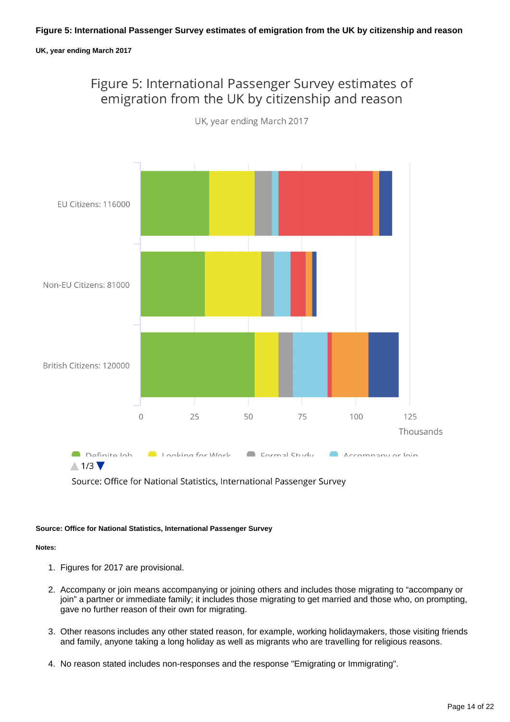#### **UK, year ending March 2017**

### Figure 5: International Passenger Survey estimates of emigration from the UK by citizenship and reason



UK, year ending March 2017

Source: Office for National Statistics, International Passenger Survey

#### **Source: Office for National Statistics, International Passenger Survey**

#### **Notes:**

- 1. Figures for 2017 are provisional.
- 2. Accompany or join means accompanying or joining others and includes those migrating to "accompany or join" a partner or immediate family; it includes those migrating to get married and those who, on prompting, gave no further reason of their own for migrating.
- 3. Other reasons includes any other stated reason, for example, working holidaymakers, those visiting friends and family, anyone taking a long holiday as well as migrants who are travelling for religious reasons.
- 4. No reason stated includes non-responses and the response "Emigrating or Immigrating".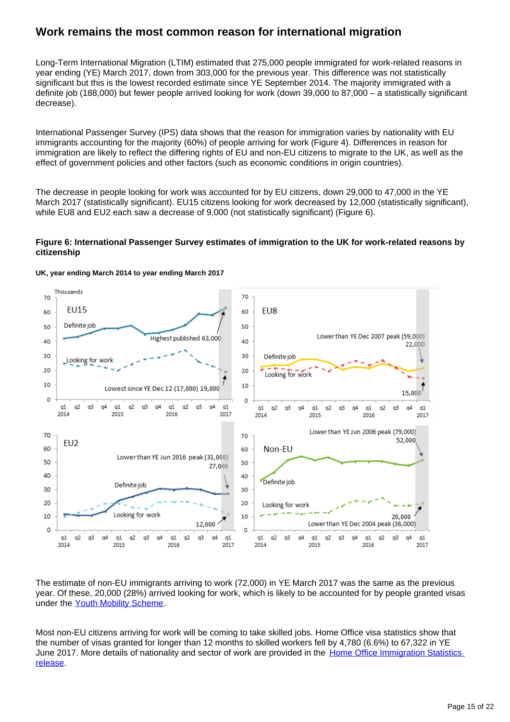### **Work remains the most common reason for international migration**

Long-Term International Migration (LTIM) estimated that 275,000 people immigrated for work-related reasons in year ending (YE) March 2017, down from 303,000 for the previous year. This difference was not statistically significant but this is the lowest recorded estimate since YE September 2014. The majority immigrated with a definite job (188,000) but fewer people arrived looking for work (down 39,000 to 87,000 – a statistically significant decrease).

International Passenger Survey (IPS) data shows that the reason for immigration varies by nationality with EU immigrants accounting for the majority (60%) of people arriving for work (Figure 4). Differences in reason for immigration are likely to reflect the differing rights of EU and non-EU citizens to migrate to the UK, as well as the effect of government policies and other factors (such as economic conditions in origin countries).

The decrease in people looking for work was accounted for by EU citizens, down 29,000 to 47,000 in the YE March 2017 (statistically significant). EU15 citizens looking for work decreased by 12,000 (statistically significant), while EU8 and EU2 each saw a decrease of 9,000 (not statistically significant) (Figure 6).

#### **Figure 6: International Passenger Survey estimates of immigration to the UK for work-related reasons by citizenship**



**UK, year ending March 2014 to year ending March 2017**

The estimate of non-EU immigrants arriving to work (72,000) in YE March 2017 was the same as the previous year. Of these, 20,000 (28%) arrived looking for work, which is likely to be accounted for by people granted visas under the [Youth Mobility Scheme](https://www.gov.uk/tier-5-youth-mobility/overview).

Most non-EU citizens arriving for work will be coming to take skilled jobs. Home Office visa statistics show that the number of visas granted for longer than 12 months to skilled workers fell by 4,780 (6.6%) to 67,322 in YE June 2017. More details of nationality and sector of work are provided in the [Home Office Immigration Statistics](https://www.gov.uk/government/collections/immigration-statistics-quarterly-release)  [release.](https://www.gov.uk/government/collections/immigration-statistics-quarterly-release)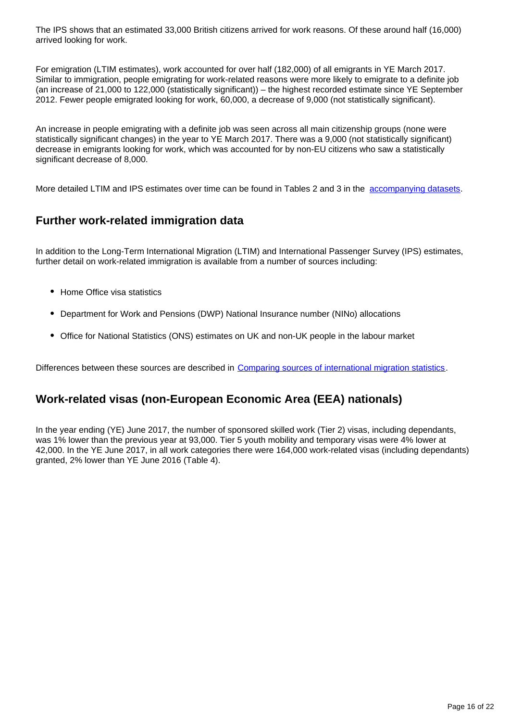The IPS shows that an estimated 33,000 British citizens arrived for work reasons. Of these around half (16,000) arrived looking for work.

For emigration (LTIM estimates), work accounted for over half (182,000) of all emigrants in YE March 2017. Similar to immigration, people emigrating for work-related reasons were more likely to emigrate to a definite job (an increase of 21,000 to 122,000 (statistically significant)) – the highest recorded estimate since YE September 2012. Fewer people emigrated looking for work, 60,000, a decrease of 9,000 (not statistically significant).

An increase in people emigrating with a definite job was seen across all main citizenship groups (none were statistically significant changes) in the year to YE March 2017. There was a 9,000 (not statistically significant) decrease in emigrants looking for work, which was accounted for by non-EU citizens who saw a statistically significant decrease of 8,000.

More detailed LTIM and IPS estimates over time can be found in Tables 2 and 3 in the [accompanying datasets.](https://www.ons.gov.uk/peoplepopulationandcommunity/populationandmigration/internationalmigration/datasets/migrationstatisticsquarterlyreportprovisionallongterminternationalmigrationltimestimates)

### **Further work-related immigration data**

In addition to the Long-Term International Migration (LTIM) and International Passenger Survey (IPS) estimates, further detail on work-related immigration is available from a number of sources including:

- Home Office visa statistics
- Department for Work and Pensions (DWP) National Insurance number (NINo) allocations
- Office for National Statistics (ONS) estimates on UK and non-UK people in the labour market

Differences between these sources are described in [Comparing sources of international migration statistics](https://www.ons.gov.uk/peoplepopulationandcommunity/populationandmigration/internationalmigration/articles/comparingsourcesofinternationalmigrationstatistics/december2016).

### **Work-related visas (non-European Economic Area (EEA) nationals)**

In the year ending (YE) June 2017, the number of sponsored skilled work (Tier 2) visas, including dependants, was 1% lower than the previous year at 93,000. Tier 5 youth mobility and temporary visas were 4% lower at 42,000. In the YE June 2017, in all work categories there were 164,000 work-related visas (including dependants) granted, 2% lower than YE June 2016 (Table 4).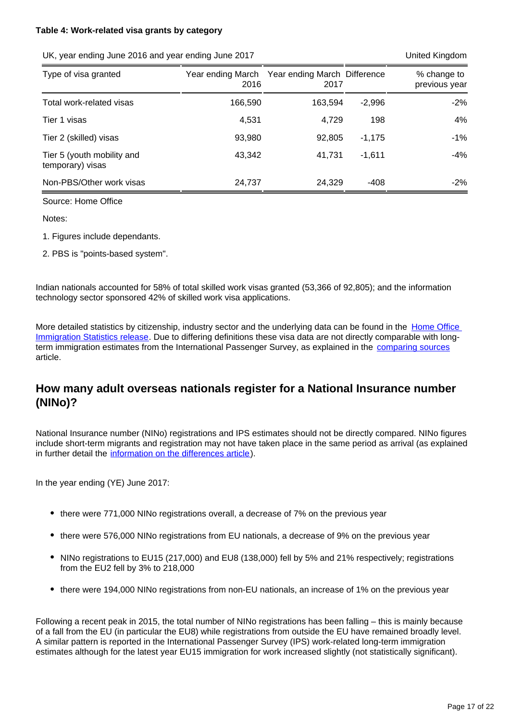#### **Table 4: Work-related visa grants by category**

UK, year ending June 2016 and year ending June 2017 United Kingdom United Kingdom

| Type of visa granted                           | 2016    | Year ending March Year ending March Difference<br>2017 |          | % change to<br>previous year |
|------------------------------------------------|---------|--------------------------------------------------------|----------|------------------------------|
| Total work-related visas                       | 166,590 | 163.594                                                | $-2,996$ | $-2\%$                       |
| Tier 1 visas                                   | 4,531   | 4,729                                                  | 198      | 4%                           |
| Tier 2 (skilled) visas                         | 93,980  | 92,805                                                 | $-1,175$ | $-1%$                        |
| Tier 5 (youth mobility and<br>temporary) visas | 43,342  | 41,731                                                 | $-1,611$ | -4%                          |
| Non-PBS/Other work visas                       | 24,737  | 24,329                                                 | $-408$   | $-2\%$                       |

Source: Home Office

Notes:

1. Figures include dependants.

2. PBS is "points-based system".

Indian nationals accounted for 58% of total skilled work visas granted (53,366 of 92,805); and the information technology sector sponsored 42% of skilled work visa applications.

More detailed statistics by citizenship, industry sector and the underlying data can be found in the [Home Office](https://www.gov.uk/government/collections/immigration-statistics-quarterly-release)  [Immigration Statistics release.](https://www.gov.uk/government/collections/immigration-statistics-quarterly-release) Due to differing definitions these visa data are not directly comparable with longterm immigration estimates from the International Passenger Survey, as explained in the [comparing sources](https://www.ons.gov.uk/peoplepopulationandcommunity/populationandmigration/internationalmigration/articles/comparingsourcesofinternationalmigrationstatistics/december2016) article.

### **How many adult overseas nationals register for a National Insurance number (NINo)?**

National Insurance number (NINo) registrations and IPS estimates should not be directly compared. NINo figures include short-term migrants and registration may not have taken place in the same period as arrival (as explained in further detail the [information on the differences article](https://www.ons.gov.uk/peoplepopulationandcommunity/populationandmigration/internationalmigration/articles/noteonthedifferencebetweennationalinsurancenumberregistrationsandtheestimateoflongterminternationalmigration/2016)).

In the year ending (YE) June 2017:

- there were 771,000 NINo registrations overall, a decrease of 7% on the previous year
- there were 576,000 NINo registrations from EU nationals, a decrease of 9% on the previous year
- NINo registrations to EU15 (217,000) and EU8 (138,000) fell by 5% and 21% respectively; registrations from the EU2 fell by 3% to 218,000
- there were 194,000 NINo registrations from non-EU nationals, an increase of 1% on the previous year

Following a recent peak in 2015, the total number of NINo registrations has been falling – this is mainly because of a fall from the EU (in particular the EU8) while registrations from outside the EU have remained broadly level. A similar pattern is reported in the International Passenger Survey (IPS) work-related long-term immigration estimates although for the latest year EU15 immigration for work increased slightly (not statistically significant).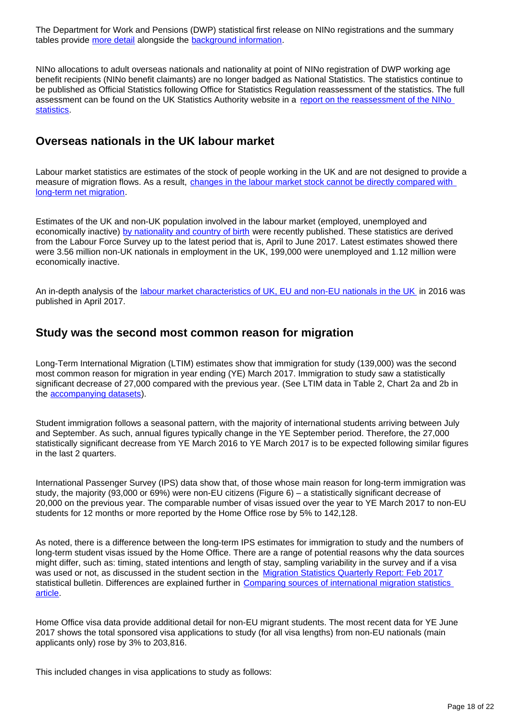The Department for Work and Pensions (DWP) statistical first release on NINo registrations and the summary tables provide [more detail](https://www.gov.uk/government/collections/national-insurance-number-allocations-to-adult-overseas-nationals-entering-the-uk) alongside the [background information](https://www.gov.uk/government/statistics/nino-allocations-to-adult-overseas-nationals-entering-the-uk-background-information).

NINo allocations to adult overseas nationals and nationality at point of NINo registration of DWP working age benefit recipients (NINo benefit claimants) are no longer badged as National Statistics. The statistics continue to be published as Official Statistics following Office for Statistics Regulation reassessment of the statistics. The full assessment can be found on the UK Statistics Authority website in a [report on the reassessment of the NINo](https://www.statisticsauthority.gov.uk/publication/nino-allocations-to-adult-overseas-nationals)  [statistics.](https://www.statisticsauthority.gov.uk/publication/nino-allocations-to-adult-overseas-nationals)

### **Overseas nationals in the UK labour market**

Labour market statistics are estimates of the stock of people working in the UK and are not designed to provide a measure of migration flows. As a result, changes in the labour market stock cannot be directly compared with [long-term net migration.](https://www.ons.gov.uk/peoplepopulationandcommunity/populationandmigration/internationalmigration/articles/noteonthedifferencesbetweenlongterminternationalmigrationflowsderivedfromtheinternationalpassengersurveyandestimatesofthepopulationobtainedfromtheannualpopulationsurvey/december2016)

Estimates of the UK and non-UK population involved in the labour market (employed, unemployed and economically inactive) [by nationality and country of birth](https://www.ons.gov.uk/employmentandlabourmarket/peopleinwork/employmentandemployeetypes/articles/ukandnonukpeopleinthelabourmarket/august2017) were recently published. These statistics are derived from the Labour Force Survey up to the latest period that is, April to June 2017. Latest estimates showed there were 3.56 million non-UK nationals in employment in the UK, 199,000 were unemployed and 1.12 million were economically inactive.

An in-depth analysis of the [labour market characteristics of UK, EU and non-EU nationals in the UK](https://www.ons.gov.uk/peoplepopulationandcommunity/populationandmigration/internationalmigration/articles/migrationandthelabourmarketuk/2016) in 2016 was published in April 2017.

### **Study was the second most common reason for migration**

Long-Term International Migration (LTIM) estimates show that immigration for study (139,000) was the second most common reason for migration in year ending (YE) March 2017. Immigration to study saw a statistically significant decrease of 27,000 compared with the previous year. (See LTIM data in Table 2, Chart 2a and 2b in the [accompanying datasets\)](https://www.ons.gov.uk/peoplepopulationandcommunity/populationandmigration/internationalmigration/datasets/migrationstatisticsquarterlyreportprovisionallongterminternationalmigrationltimestimates).

Student immigration follows a seasonal pattern, with the majority of international students arriving between July and September. As such, annual figures typically change in the YE September period. Therefore, the 27,000 statistically significant decrease from YE March 2016 to YE March 2017 is to be expected following similar figures in the last 2 quarters.

International Passenger Survey (IPS) data show that, of those whose main reason for long-term immigration was study, the majority (93,000 or 69%) were non-EU citizens (Figure 6) – a statistically significant decrease of 20,000 on the previous year. The comparable number of visas issued over the year to YE March 2017 to non-EU students for 12 months or more reported by the Home Office rose by 5% to 142,128.

As noted, there is a difference between the long-term IPS estimates for immigration to study and the numbers of long-term student visas issued by the Home Office. There are a range of potential reasons why the data sources might differ, such as: timing, stated intentions and length of stay, sampling variability in the survey and if a visa was used or not, as discussed in the student section in the [Migration Statistics Quarterly Report: Feb 2017](https://www.ons.gov.uk/peoplepopulationandcommunity/populationandmigration/internationalmigration/bulletins/migrationstatisticsquarterlyreport/feb2017) statistical bulletin. Differences are explained further in Comparing sources of international migration statistics [article.](https://www.ons.gov.uk/peoplepopulationandcommunity/populationandmigration/internationalmigration/articles/comparingsourcesofinternationalmigrationstatistics/december2016)

Home Office visa data provide additional detail for non-EU migrant students. The most recent data for YE June 2017 shows the total sponsored visa applications to study (for all visa lengths) from non-EU nationals (main applicants only) rose by 3% to 203,816.

This included changes in visa applications to study as follows: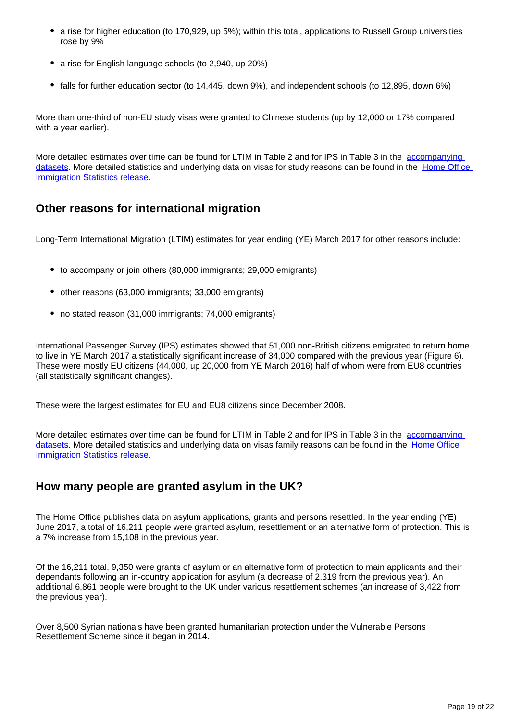- a rise for higher education (to 170,929, up 5%); within this total, applications to Russell Group universities rose by 9%
- a rise for English language schools (to 2,940, up 20%)
- falls for further education sector (to 14,445, down 9%), and independent schools (to 12,895, down 6%)

More than one-third of non-EU study visas were granted to Chinese students (up by 12,000 or 17% compared with a year earlier).

More detailed estimates over time can be found for LTIM in Table 2 and for IPS in Table 3 in the [accompanying](https://www.ons.gov.uk/peoplepopulationandcommunity/populationandmigration/internationalmigration/datasets/migrationstatisticsquarterlyreportprovisionallongterminternationalmigrationltimestimates)  [datasets.](https://www.ons.gov.uk/peoplepopulationandcommunity/populationandmigration/internationalmigration/datasets/migrationstatisticsquarterlyreportprovisionallongterminternationalmigrationltimestimates) More detailed statistics and underlying data on visas for study reasons can be found in the Home Office [Immigration Statistics release.](https://www.gov.uk/government/collections/immigration-statistics-quarterly-release)

### **Other reasons for international migration**

Long-Term International Migration (LTIM) estimates for year ending (YE) March 2017 for other reasons include:

- to accompany or join others (80,000 immigrants; 29,000 emigrants)
- other reasons (63,000 immigrants; 33,000 emigrants)
- no stated reason (31,000 immigrants; 74,000 emigrants)

International Passenger Survey (IPS) estimates showed that 51,000 non-British citizens emigrated to return home to live in YE March 2017 a statistically significant increase of 34,000 compared with the previous year (Figure 6). These were mostly EU citizens (44,000, up 20,000 from YE March 2016) half of whom were from EU8 countries (all statistically significant changes).

These were the largest estimates for EU and EU8 citizens since December 2008.

More detailed estimates over time can be found for LTIM in Table 2 and for IPS in Table 3 in the accompanying [datasets.](https://www.ons.gov.uk/peoplepopulationandcommunity/populationandmigration/internationalmigration/datasets/migrationstatisticsquarterlyreportprovisionallongterminternationalmigrationltimestimates) More detailed statistics and underlying data on visas family reasons can be found in the [Home Office](https://www.gov.uk/government/collections/immigration-statistics-quarterly-release)  **[Immigration Statistics release.](https://www.gov.uk/government/collections/immigration-statistics-quarterly-release)** 

### **How many people are granted asylum in the UK?**

The Home Office publishes data on asylum applications, grants and persons resettled. In the year ending (YE) June 2017, a total of 16,211 people were granted asylum, resettlement or an alternative form of protection. This is a 7% increase from 15,108 in the previous year.

Of the 16,211 total, 9,350 were grants of asylum or an alternative form of protection to main applicants and their dependants following an in-country application for asylum (a decrease of 2,319 from the previous year). An additional 6,861 people were brought to the UK under various resettlement schemes (an increase of 3,422 from the previous year).

Over 8,500 Syrian nationals have been granted humanitarian protection under the Vulnerable Persons Resettlement Scheme since it began in 2014.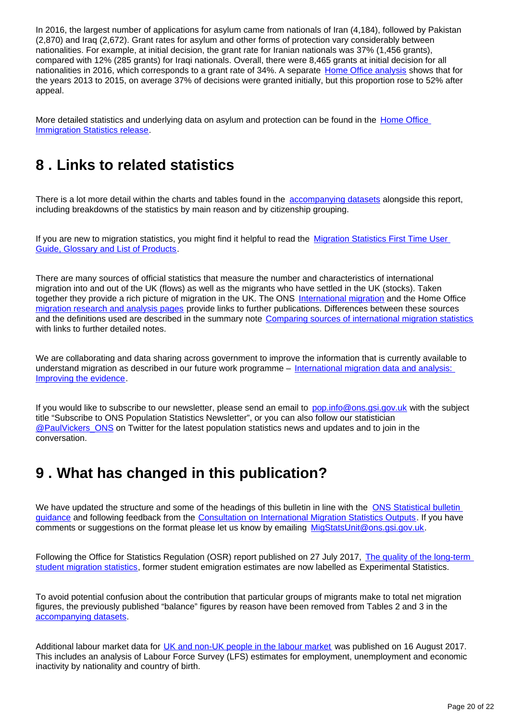In 2016, the largest number of applications for asylum came from nationals of Iran (4,184), followed by Pakistan (2,870) and Iraq (2,672). Grant rates for asylum and other forms of protection vary considerably between nationalities. For example, at initial decision, the grant rate for Iranian nationals was 37% (1,456 grants), compared with 12% (285 grants) for Iraqi nationals. Overall, there were 8,465 grants at initial decision for all nationalities in 2016, which corresponds to a grant rate of 34%. A separate [Home Office analysis](https://www.gov.uk/government/collections/immigration-statistics-quarterly-release) shows that for the years 2013 to 2015, on average 37% of decisions were granted initially, but this proportion rose to 52% after appeal.

More detailed statistics and underlying data on asylum and protection can be found in the [Home Office](https://www.gov.uk/government/collections/immigration-statistics-quarterly-release)  [Immigration Statistics release.](https://www.gov.uk/government/collections/immigration-statistics-quarterly-release)

## <span id="page-19-0"></span>**8 . Links to related statistics**

There is a lot more detail within the charts and tables found in the [accompanying datasets](https://www.ons.gov.uk/peoplepopulationandcommunity/populationandmigration/internationalmigration/datasets/migrationstatisticsquarterlyreportprovisionallongterminternationalmigrationltimestimates) alongside this report, including breakdowns of the statistics by main reason and by citizenship grouping.

If you are new to migration statistics, you might find it helpful to read the Migration Statistics First Time User [Guide, Glossary and List of Products.](http://www.ons.gov.uk/peoplepopulationandcommunity/populationandmigration/internationalmigration/methodologies/migrationstatisticsfirsttimeuserguideglossaryandlistofproducts)

There are many sources of official statistics that measure the number and characteristics of international migration into and out of the UK (flows) as well as the migrants who have settled in the UK (stocks). Taken together they provide a rich picture of migration in the UK. The ONS [International migration](https://www.ons.gov.uk/peoplepopulationandcommunity/populationandmigration/internationalmigration) and the Home Office [migration research and analysis pages](https://www.gov.uk/government/collections/migration-research-and-analysis) provide links to further publications. Differences between these sources and the definitions used are described in the summary note [Comparing sources of international migration statistics](https://www.ons.gov.uk/peoplepopulationandcommunity/populationandmigration/internationalmigration/articles/comparingsourcesofinternationalmigrationstatistics/december2016) with links to further detailed notes.

We are collaborating and data sharing across government to improve the information that is currently available to understand migration as described in our future work programme – [International migration data and analysis:](https://www.ons.gov.uk/peoplepopulationandcommunity/populationandmigration/internationalmigration/articles/internationalmigrationdataandanalysisimprovingtheevidence/february2017)  [Improving the evidence.](https://www.ons.gov.uk/peoplepopulationandcommunity/populationandmigration/internationalmigration/articles/internationalmigrationdataandanalysisimprovingtheevidence/february2017)

If you would like to subscribe to our newsletter, please send an email to pop.info@ons.gsi.gov.uk with the subject title "Subscribe to ONS Population Statistics Newsletter", or you can also follow our statistician [@PaulVickers\\_ONS](https://twitter.com/PaulVickers_ONS) on Twitter for the latest population statistics news and updates and to join in the conversation.

## <span id="page-19-1"></span>**9 . What has changed in this publication?**

We have updated the structure and some of the headings of this bulletin in line with the ONS Statistical bulletin [guidance](https://style.ons.gov.uk/category/writing-a-statistical-bulletin/) and following feedback from the [Consultation on International Migration Statistics Outputs](https://www.ons.gov.uk/aboutus/whatwedo/statistics/consultationsandsurveys/allconsultationsandsurveys/consultationoninternationalmigrationstatisticsoutputs). If you have comments or suggestions on the format please let us know by emailing MigStatsUnit@ons.gsi.gov.uk.

Following the Office for Statistics Regulation (OSR) report published on 27 July 2017, The quality of the long-term [student migration statistics](https://www.statisticsauthority.gov.uk/publication/the-quality-of-long-term-student-migration-statistics/), former student emigration estimates are now labelled as Experimental Statistics.

To avoid potential confusion about the contribution that particular groups of migrants make to total net migration figures, the previously published "balance" figures by reason have been removed from Tables 2 and 3 in the [accompanying datasets.](https://www.ons.gov.uk/peoplepopulationandcommunity/populationandmigration/internationalmigration/datasets/migrationstatisticsquarterlyreportprovisionallongterminternationalmigrationltimestimates)

Additional labour market data for [UK and non-UK people in the labour market](https://www.ons.gov.uk/employmentandlabourmarket/peopleinwork/employmentandemployeetypes/articles/ukandnonukpeopleinthelabourmarket/august2017) was published on 16 August 2017. This includes an analysis of Labour Force Survey (LFS) estimates for employment, unemployment and economic inactivity by nationality and country of birth.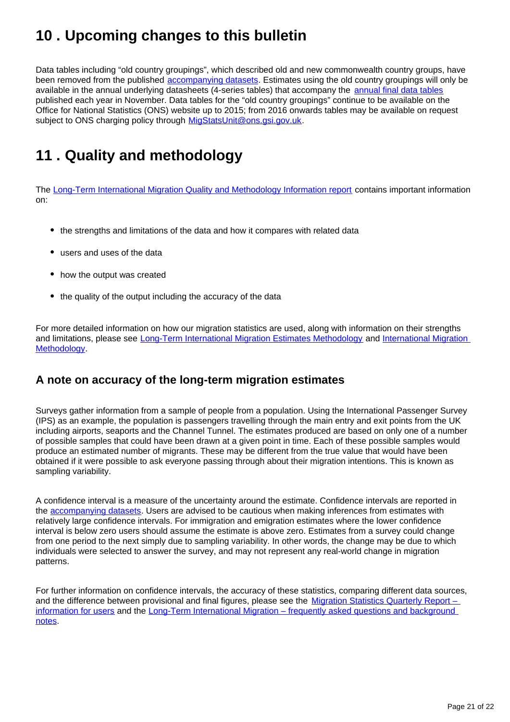## <span id="page-20-0"></span>**10 . Upcoming changes to this bulletin**

Data tables including "old country groupings", which described old and new commonwealth country groups, have been removed from the published [accompanying datasets.](https://www.ons.gov.uk/peoplepopulationandcommunity/populationandmigration/internationalmigration/datasets/migrationstatisticsquarterlyreportprovisionallongterminternationalmigrationltimestimates) Estimates using the old country groupings will only be available in the annual underlying datasheets (4-series tables) that accompany the [annual final data tables](https://www.ons.gov.uk/peoplepopulationandcommunity/populationandmigration/internationalmigration/datasets/tableofcontents) published each year in November. Data tables for the "old country groupings" continue to be available on the Office for National Statistics (ONS) website up to 2015; from 2016 onwards tables may be available on request subject to ONS charging policy through **MigStatsUnit@ons.gsi.gov.uk.** 

## <span id="page-20-1"></span>**11 . Quality and methodology**

The [Long-Term International Migration Quality and Methodology Information report](https://www.ons.gov.uk/peoplepopulationandcommunity/populationandmigration/populationestimates/qmis/longtermmigrationindicatorssuiteqmi) contains important information on:

- the strengths and limitations of the data and how it compares with related data
- users and uses of the data
- how the output was created
- the quality of the output including the accuracy of the data

For more detailed information on how our migration statistics are used, along with information on their strengths and limitations, please see [Long-Term International Migration Estimates Methodology](https://www.ons.gov.uk/peoplepopulationandcommunity/populationandmigration/internationalmigration/methodologies/longterminternationalmigrationestimatesmethodology) and [International Migration](https://www.ons.gov.uk/peoplepopulationandcommunity/populationandmigration/internationalmigration/methodologies/internationalmigrationmethodology)  [Methodology.](https://www.ons.gov.uk/peoplepopulationandcommunity/populationandmigration/internationalmigration/methodologies/internationalmigrationmethodology)

### **A note on accuracy of the long-term migration estimates**

Surveys gather information from a sample of people from a population. Using the International Passenger Survey (IPS) as an example, the population is passengers travelling through the main entry and exit points from the UK including airports, seaports and the Channel Tunnel. The estimates produced are based on only one of a number of possible samples that could have been drawn at a given point in time. Each of these possible samples would produce an estimated number of migrants. These may be different from the true value that would have been obtained if it were possible to ask everyone passing through about their migration intentions. This is known as sampling variability.

A confidence interval is a measure of the uncertainty around the estimate. Confidence intervals are reported in the [accompanying datasets.](https://www.ons.gov.uk/peoplepopulationandcommunity/populationandmigration/internationalmigration/datasets/migrationstatisticsquarterlyreportprovisionallongterminternationalmigrationltimestimates) Users are advised to be cautious when making inferences from estimates with relatively large confidence intervals. For immigration and emigration estimates where the lower confidence interval is below zero users should assume the estimate is above zero. Estimates from a survey could change from one period to the next simply due to sampling variability. In other words, the change may be due to which individuals were selected to answer the survey, and may not represent any real-world change in migration patterns.

For further information on confidence intervals, the accuracy of these statistics, comparing different data sources, and the difference between provisional and final figures, please see the Migration Statistics Quarterly Report – [information for users](https://www.ons.gov.uk/peoplepopulationandcommunity/populationandmigration/internationalmigration/methodologies/migrationstatisticsquarterlyreportinformationforusers) and the [Long-Term International Migration – frequently asked questions and background](https://www.ons.gov.uk/peoplepopulationandcommunity/populationandmigration/internationalmigration/methodologies/longterminternationalmigrationfrequentlyaskedquestionsandbackgroundnotes)  [notes](https://www.ons.gov.uk/peoplepopulationandcommunity/populationandmigration/internationalmigration/methodologies/longterminternationalmigrationfrequentlyaskedquestionsandbackgroundnotes).